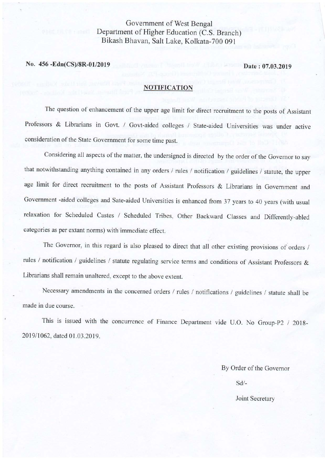# Govemment of West Bengal Department of Higher Education (C.S. Branch) Bikash Bhavan, Salt Lake, Kolkata-70O 091

No. 456 -Edn(CS)/8R-01/2019 Date: 07.03.2019

### **NOTIFICATION**

The question of enhancement of the upper age limit for direct recruitment to the posts of Assistant Professors & Librarians in Govt. / Govt-aided colleges / State-aided Universities was under active consideration of the State Government for some time past.

Considering all aspects of the matter, the undersigned is directed by the order of the Governor to say that notwithstanding anything contained in any orders / rules / notification / guidelines / statute, the upper age limit for direct recruitment to the posts of Assistant Professors & Librarians in Government and Government -aided colleges and Sate-aided Universities is enhanced from 37 years to 40 years (with usual relaxation for Scheduled Castes / Scheduled Tribes, Other Backward Classes and Differently-abled categories as per extant norms) with immediate effect.

The Governor, in this regard is also pleased to direct that all other existing provisions of orders / rules / notification / guidelines / statute regulating service terms and conditions of Assistant Professors & Librarians shall remain unaltered, except to the above extent.

Necessary amendments in the concerned orders / rules / notifications / guidelines / statute shall be made in due course.

This is issued with the concurrence of Finance Department vide U.O. No Group-P2 / 20lg-201911062, dated 0l .03.2019.

By Order of the Governor

sd/-

### Joint Secretary